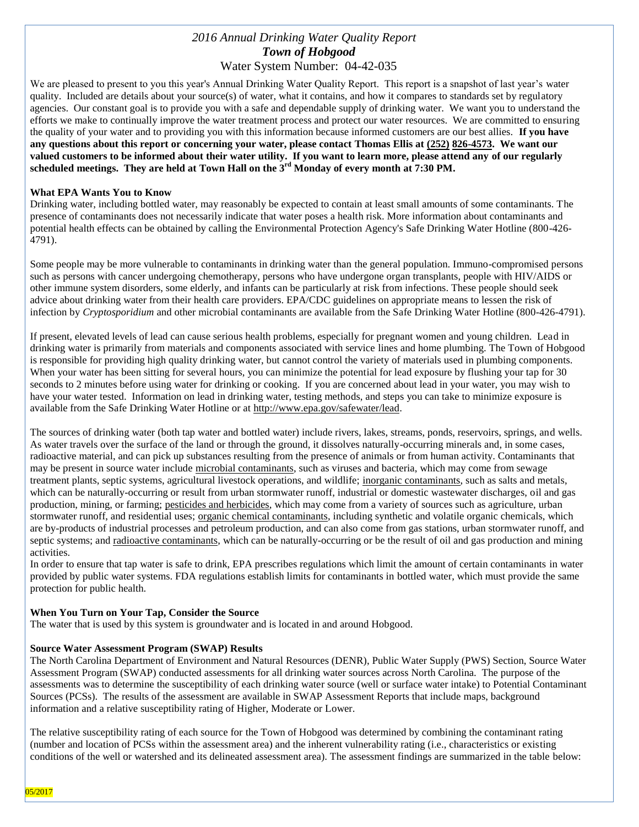# *2016 Annual Drinking Water Quality Report Town of Hobgood* Water System Number: 04-42-035

We are pleased to present to you this year's Annual Drinking Water Quality Report. This report is a snapshot of last year's water quality. Included are details about your source(s) of water, what it contains, and how it compares to standards set by regulatory agencies. Our constant goal is to provide you with a safe and dependable supply of drinking water. We want you to understand the efforts we make to continually improve the water treatment process and protect our water resources. We are committed to ensuring the quality of your water and to providing you with this information because informed customers are our best allies. **If you have any questions about this report or concerning your water, please contact Thomas Ellis at (252) 826-4573. We want our valued customers to be informed about their water utility. If you want to learn more, please attend any of our regularly scheduled meetings. They are held at Town Hall on the 3rd Monday of every month at 7:30 PM.**

#### **What EPA Wants You to Know**

Drinking water, including bottled water, may reasonably be expected to contain at least small amounts of some contaminants. The presence of contaminants does not necessarily indicate that water poses a health risk. More information about contaminants and potential health effects can be obtained by calling the Environmental Protection Agency's Safe Drinking Water Hotline (800-426- 4791).

Some people may be more vulnerable to contaminants in drinking water than the general population. Immuno-compromised persons such as persons with cancer undergoing chemotherapy, persons who have undergone organ transplants, people with HIV/AIDS or other immune system disorders, some elderly, and infants can be particularly at risk from infections. These people should seek advice about drinking water from their health care providers. EPA/CDC guidelines on appropriate means to lessen the risk of infection by *Cryptosporidium* and other microbial contaminants are available from the Safe Drinking Water Hotline (800-426-4791).

If present, elevated levels of lead can cause serious health problems, especially for pregnant women and young children. Lead in drinking water is primarily from materials and components associated with service lines and home plumbing. The Town of Hobgood is responsible for providing high quality drinking water, but cannot control the variety of materials used in plumbing components. When your water has been sitting for several hours, you can minimize the potential for lead exposure by flushing your tap for 30 seconds to 2 minutes before using water for drinking or cooking. If you are concerned about lead in your water, you may wish to have your water tested. Information on lead in drinking water, testing methods, and steps you can take to minimize exposure is available from the Safe Drinking Water Hotline or at [http://www.epa.gov/safewater/lead.](http://www.epa.gov/safewater/lead)

The sources of drinking water (both tap water and bottled water) include rivers, lakes, streams, ponds, reservoirs, springs, and wells. As water travels over the surface of the land or through the ground, it dissolves naturally-occurring minerals and, in some cases, radioactive material, and can pick up substances resulting from the presence of animals or from human activity. Contaminants that may be present in source water include microbial contaminants, such as viruses and bacteria, which may come from sewage treatment plants, septic systems, agricultural livestock operations, and wildlife; inorganic contaminants, such as salts and metals, which can be naturally-occurring or result from urban stormwater runoff, industrial or domestic wastewater discharges, oil and gas production, mining, or farming; pesticides and herbicides, which may come from a variety of sources such as agriculture, urban stormwater runoff, and residential uses; organic chemical contaminants, including synthetic and volatile organic chemicals, which are by-products of industrial processes and petroleum production, and can also come from gas stations, urban stormwater runoff, and septic systems; and radioactive contaminants, which can be naturally-occurring or be the result of oil and gas production and mining activities.

In order to ensure that tap water is safe to drink, EPA prescribes regulations which limit the amount of certain contaminants in water provided by public water systems. FDA regulations establish limits for contaminants in bottled water, which must provide the same protection for public health.

#### **When You Turn on Your Tap, Consider the Source**

The water that is used by this system is groundwater and is located in and around Hobgood.

#### **Source Water Assessment Program (SWAP) Results**

The North Carolina Department of Environment and Natural Resources (DENR), Public Water Supply (PWS) Section, Source Water Assessment Program (SWAP) conducted assessments for all drinking water sources across North Carolina. The purpose of the assessments was to determine the susceptibility of each drinking water source (well or surface water intake) to Potential Contaminant Sources (PCSs). The results of the assessment are available in SWAP Assessment Reports that include maps, background information and a relative susceptibility rating of Higher, Moderate or Lower.

The relative susceptibility rating of each source for the Town of Hobgood was determined by combining the contaminant rating (number and location of PCSs within the assessment area) and the inherent vulnerability rating (i.e., characteristics or existing conditions of the well or watershed and its delineated assessment area). The assessment findings are summarized in the table below: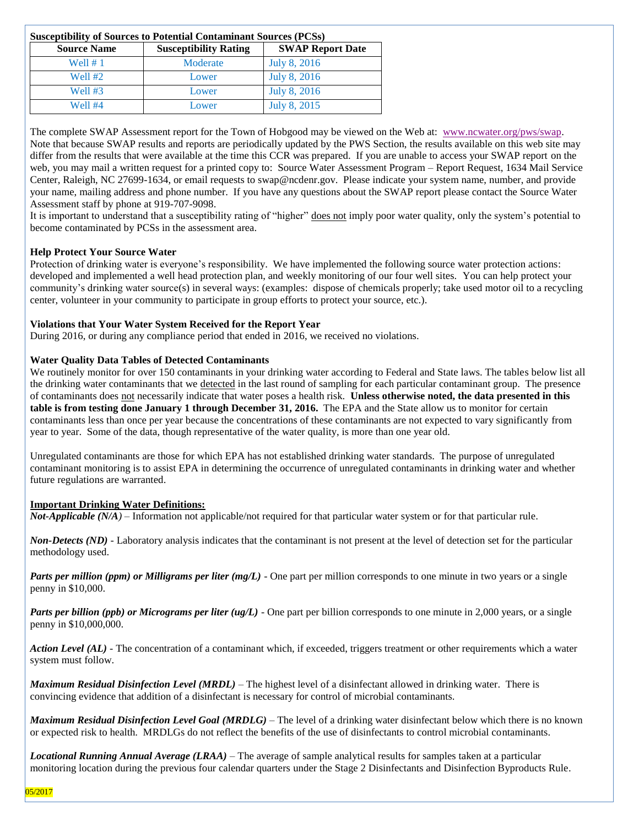| <b>Susceptibility of Sources to Potential Contaminant Sources (PCSs)</b> |                              |                         |  |  |  |  |
|--------------------------------------------------------------------------|------------------------------|-------------------------|--|--|--|--|
| <b>Source Name</b>                                                       | <b>Susceptibility Rating</b> | <b>SWAP Report Date</b> |  |  |  |  |
| Well $# 1$                                                               | Moderate                     | July 8, 2016            |  |  |  |  |
| <b>Well #2</b>                                                           | Lower                        | July 8, 2016            |  |  |  |  |
| Well #3                                                                  | Lower                        | July 8, 2016            |  |  |  |  |
| Well #4                                                                  | Lower                        | July 8, 2015            |  |  |  |  |

The complete SWAP Assessment report for the Town of Hobgood may be viewed on the Web at: [www.ncwater.org/pws/swap.](http://www.ncwater.org/pws/swap) Note that because SWAP results and reports are periodically updated by the PWS Section, the results available on this web site may differ from the results that were available at the time this CCR was prepared. If you are unable to access your SWAP report on the web, you may mail a written request for a printed copy to: Source Water Assessment Program – Report Request, 1634 Mail Service Center, Raleigh, NC 27699-1634, or email requests to swap@ncdenr.gov. Please indicate your system name, number, and provide your name, mailing address and phone number. If you have any questions about the SWAP report please contact the Source Water Assessment staff by phone at 919-707-9098.

It is important to understand that a susceptibility rating of "higher" does not imply poor water quality, only the system's potential to become contaminated by PCSs in the assessment area.

# **Help Protect Your Source Water**

Protection of drinking water is everyone's responsibility. We have implemented the following source water protection actions: developed and implemented a well head protection plan, and weekly monitoring of our four well sites. You can help protect your community's drinking water source(s) in several ways: (examples: dispose of chemicals properly; take used motor oil to a recycling center, volunteer in your community to participate in group efforts to protect your source, etc.).

# **Violations that Your Water System Received for the Report Year**

During 2016, or during any compliance period that ended in 2016, we received no violations.

# **Water Quality Data Tables of Detected Contaminants**

We routinely monitor for over 150 contaminants in your drinking water according to Federal and State laws. The tables below list all the drinking water contaminants that we detected in the last round of sampling for each particular contaminant group. The presence of contaminants does not necessarily indicate that water poses a health risk. **Unless otherwise noted, the data presented in this table is from testing done January 1 through December 31, 2016.** The EPA and the State allow us to monitor for certain contaminants less than once per year because the concentrations of these contaminants are not expected to vary significantly from year to year. Some of the data, though representative of the water quality, is more than one year old.

Unregulated contaminants are those for which EPA has not established drinking water standards. The purpose of unregulated contaminant monitoring is to assist EPA in determining the occurrence of unregulated contaminants in drinking water and whether future regulations are warranted.

#### **Important Drinking Water Definitions:**

*Not-Applicable (N/A)* – Information not applicable/not required for that particular water system or for that particular rule.

*Non-Detects (ND)* - Laboratory analysis indicates that the contaminant is not present at the level of detection set for the particular methodology used.

*Parts per million (ppm) or Milligrams per liter (mg/L)* - One part per million corresponds to one minute in two years or a single penny in \$10,000.

*Parts per billion (ppb) or Micrograms per liter (ug/L)* - One part per billion corresponds to one minute in 2,000 years, or a single penny in \$10,000,000.

*Action Level (AL) -* The concentration of a contaminant which, if exceeded, triggers treatment or other requirements which a water system must follow.

*Maximum Residual Disinfection Level (MRDL)* – The highest level of a disinfectant allowed in drinking water. There is convincing evidence that addition of a disinfectant is necessary for control of microbial contaminants.

*Maximum Residual Disinfection Level Goal (MRDLG)* – The level of a drinking water disinfectant below which there is no known or expected risk to health. MRDLGs do not reflect the benefits of the use of disinfectants to control microbial contaminants.

*Locational Running Annual Average (LRAA)* – The average of sample analytical results for samples taken at a particular monitoring location during the previous four calendar quarters under the Stage 2 Disinfectants and Disinfection Byproducts Rule.